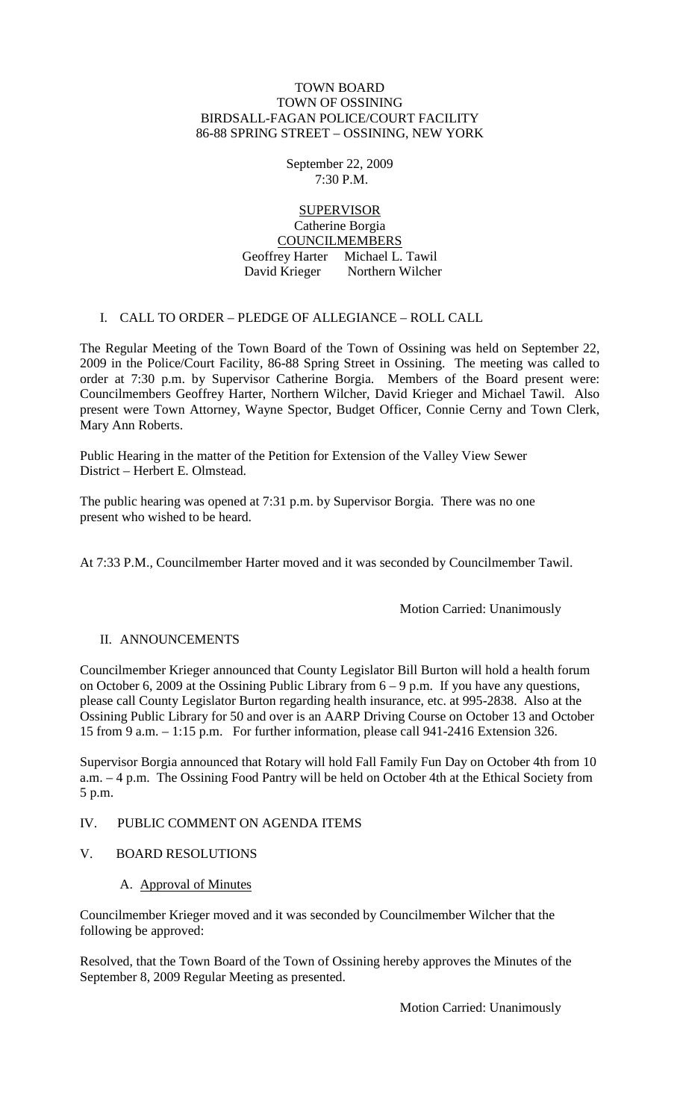#### TOWN BOARD TOWN OF OSSINING BIRDSALL-FAGAN POLICE/COURT FACILITY 86-88 SPRING STREET – OSSINING, NEW YORK

September 22, 2009 7:30 P.M.

# SUPERVISOR

Catherine Borgia COUNCILMEMBERS

Geoffrey Harter Michael L. Tawil David Krieger Northern Wilcher

# I. CALL TO ORDER – PLEDGE OF ALLEGIANCE – ROLL CALL

The Regular Meeting of the Town Board of the Town of Ossining was held on September 22, 2009 in the Police/Court Facility, 86-88 Spring Street in Ossining. The meeting was called to order at 7:30 p.m. by Supervisor Catherine Borgia. Members of the Board present were: Councilmembers Geoffrey Harter, Northern Wilcher, David Krieger and Michael Tawil. Also present were Town Attorney, Wayne Spector, Budget Officer, Connie Cerny and Town Clerk, Mary Ann Roberts.

Public Hearing in the matter of the Petition for Extension of the Valley View Sewer District – Herbert E. Olmstead.

The public hearing was opened at 7:31 p.m. by Supervisor Borgia. There was no one present who wished to be heard.

At 7:33 P.M., Councilmember Harter moved and it was seconded by Councilmember Tawil.

Motion Carried: Unanimously

# II. ANNOUNCEMENTS

Councilmember Krieger announced that County Legislator Bill Burton will hold a health forum on October 6, 2009 at the Ossining Public Library from 6 – 9 p.m. If you have any questions, please call County Legislator Burton regarding health insurance, etc. at 995-2838. Also at the Ossining Public Library for 50 and over is an AARP Driving Course on October 13 and October 15 from 9 a.m. – 1:15 p.m. For further information, please call 941-2416 Extension 326.

Supervisor Borgia announced that Rotary will hold Fall Family Fun Day on October 4th from 10 a.m. – 4 p.m. The Ossining Food Pantry will be held on October 4th at the Ethical Society from 5 p.m.

#### IV. PUBLIC COMMENT ON AGENDA ITEMS

- V. BOARD RESOLUTIONS
	- A. Approval of Minutes

Councilmember Krieger moved and it was seconded by Councilmember Wilcher that the following be approved:

Resolved, that the Town Board of the Town of Ossining hereby approves the Minutes of the September 8, 2009 Regular Meeting as presented.

Motion Carried: Unanimously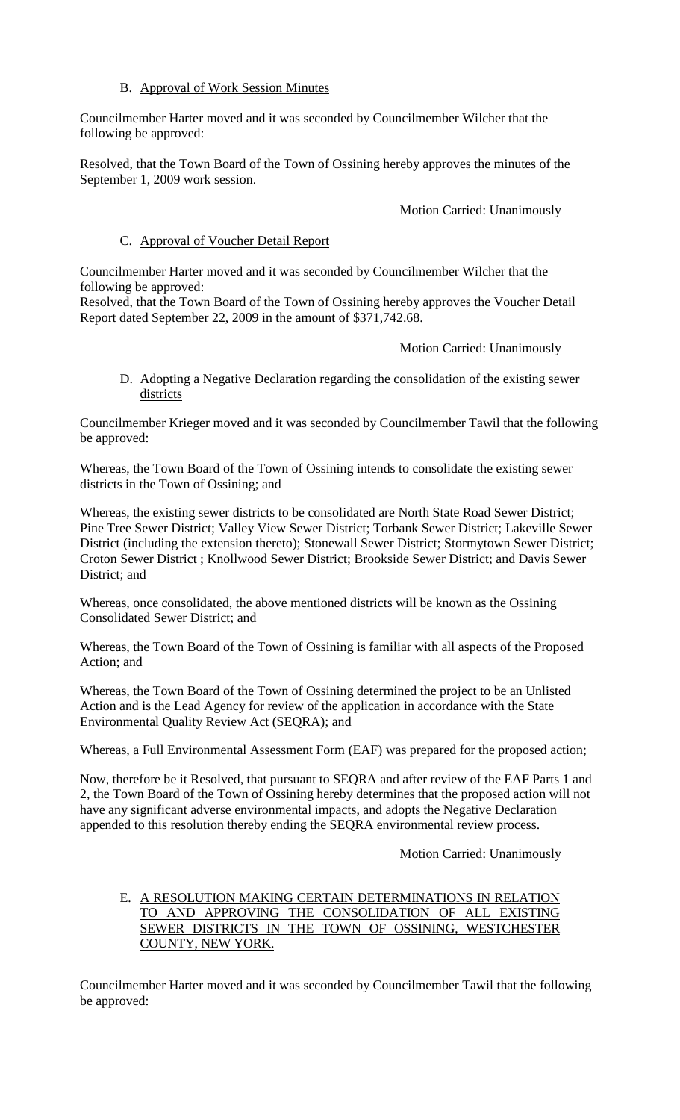# B. Approval of Work Session Minutes

Councilmember Harter moved and it was seconded by Councilmember Wilcher that the following be approved:

Resolved, that the Town Board of the Town of Ossining hereby approves the minutes of the September 1, 2009 work session.

Motion Carried: Unanimously

#### C. Approval of Voucher Detail Report

Councilmember Harter moved and it was seconded by Councilmember Wilcher that the following be approved:

Resolved, that the Town Board of the Town of Ossining hereby approves the Voucher Detail Report dated September 22, 2009 in the amount of \$371,742.68.

#### Motion Carried: Unanimously

# D. Adopting a Negative Declaration regarding the consolidation of the existing sewer districts

Councilmember Krieger moved and it was seconded by Councilmember Tawil that the following be approved:

Whereas, the Town Board of the Town of Ossining intends to consolidate the existing sewer districts in the Town of Ossining; and

Whereas, the existing sewer districts to be consolidated are North State Road Sewer District; Pine Tree Sewer District; Valley View Sewer District; Torbank Sewer District; Lakeville Sewer District (including the extension thereto); Stonewall Sewer District; Stormytown Sewer District; Croton Sewer District ; Knollwood Sewer District; Brookside Sewer District; and Davis Sewer District; and

Whereas, once consolidated, the above mentioned districts will be known as the Ossining Consolidated Sewer District; and

Whereas, the Town Board of the Town of Ossining is familiar with all aspects of the Proposed Action; and

Whereas, the Town Board of the Town of Ossining determined the project to be an Unlisted Action and is the Lead Agency for review of the application in accordance with the State Environmental Quality Review Act (SEQRA); and

Whereas, a Full Environmental Assessment Form (EAF) was prepared for the proposed action;

Now, therefore be it Resolved, that pursuant to SEQRA and after review of the EAF Parts 1 and 2, the Town Board of the Town of Ossining hereby determines that the proposed action will not have any significant adverse environmental impacts, and adopts the Negative Declaration appended to this resolution thereby ending the SEQRA environmental review process.

Motion Carried: Unanimously

E. A RESOLUTION MAKING CERTAIN DETERMINATIONS IN RELATION TO AND APPROVING THE CONSOLIDATION OF ALL EXISTING SEWER DISTRICTS IN THE TOWN OF OSSINING, WESTCHESTER COUNTY, NEW YORK.

Councilmember Harter moved and it was seconded by Councilmember Tawil that the following be approved: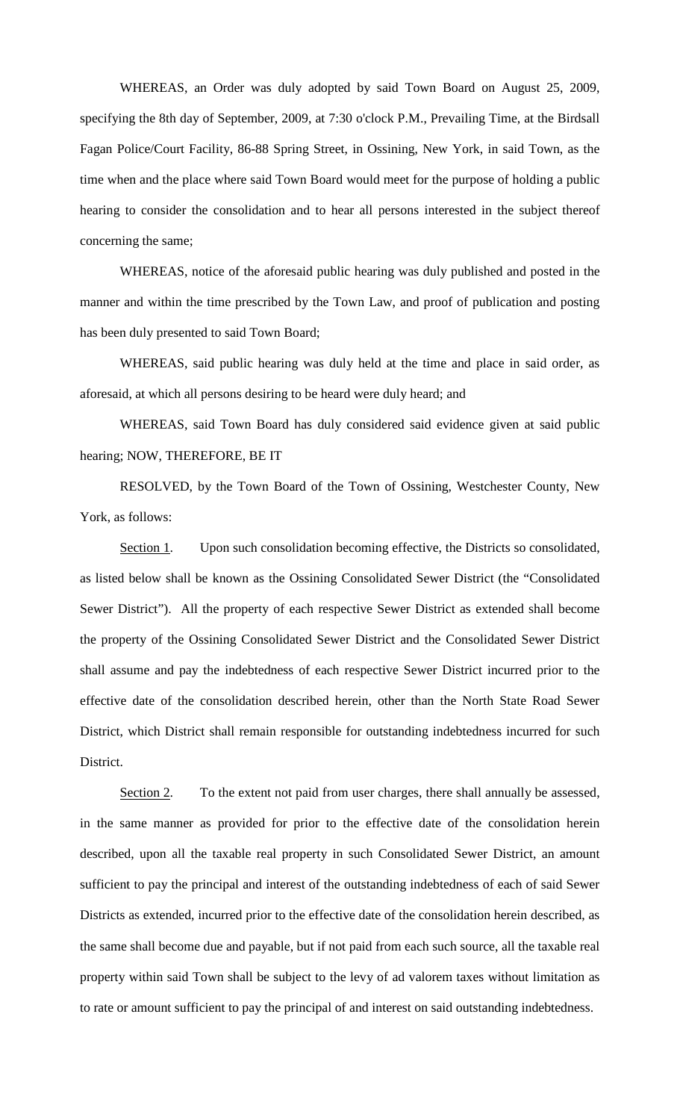WHEREAS, an Order was duly adopted by said Town Board on August 25, 2009, specifying the 8th day of September, 2009, at 7:30 o'clock P.M., Prevailing Time, at the Birdsall Fagan Police/Court Facility, 86-88 Spring Street, in Ossining, New York, in said Town, as the time when and the place where said Town Board would meet for the purpose of holding a public hearing to consider the consolidation and to hear all persons interested in the subject thereof concerning the same;

WHEREAS, notice of the aforesaid public hearing was duly published and posted in the manner and within the time prescribed by the Town Law, and proof of publication and posting has been duly presented to said Town Board;

WHEREAS, said public hearing was duly held at the time and place in said order, as aforesaid, at which all persons desiring to be heard were duly heard; and

WHEREAS, said Town Board has duly considered said evidence given at said public hearing; NOW, THEREFORE, BE IT

RESOLVED, by the Town Board of the Town of Ossining, Westchester County, New York, as follows:

Section 1. Upon such consolidation becoming effective, the Districts so consolidated, as listed below shall be known as the Ossining Consolidated Sewer District (the "Consolidated Sewer District"). All the property of each respective Sewer District as extended shall become the property of the Ossining Consolidated Sewer District and the Consolidated Sewer District shall assume and pay the indebtedness of each respective Sewer District incurred prior to the effective date of the consolidation described herein, other than the North State Road Sewer District, which District shall remain responsible for outstanding indebtedness incurred for such District.

Section 2. To the extent not paid from user charges, there shall annually be assessed, in the same manner as provided for prior to the effective date of the consolidation herein described, upon all the taxable real property in such Consolidated Sewer District, an amount sufficient to pay the principal and interest of the outstanding indebtedness of each of said Sewer Districts as extended, incurred prior to the effective date of the consolidation herein described, as the same shall become due and payable, but if not paid from each such source, all the taxable real property within said Town shall be subject to the levy of ad valorem taxes without limitation as to rate or amount sufficient to pay the principal of and interest on said outstanding indebtedness.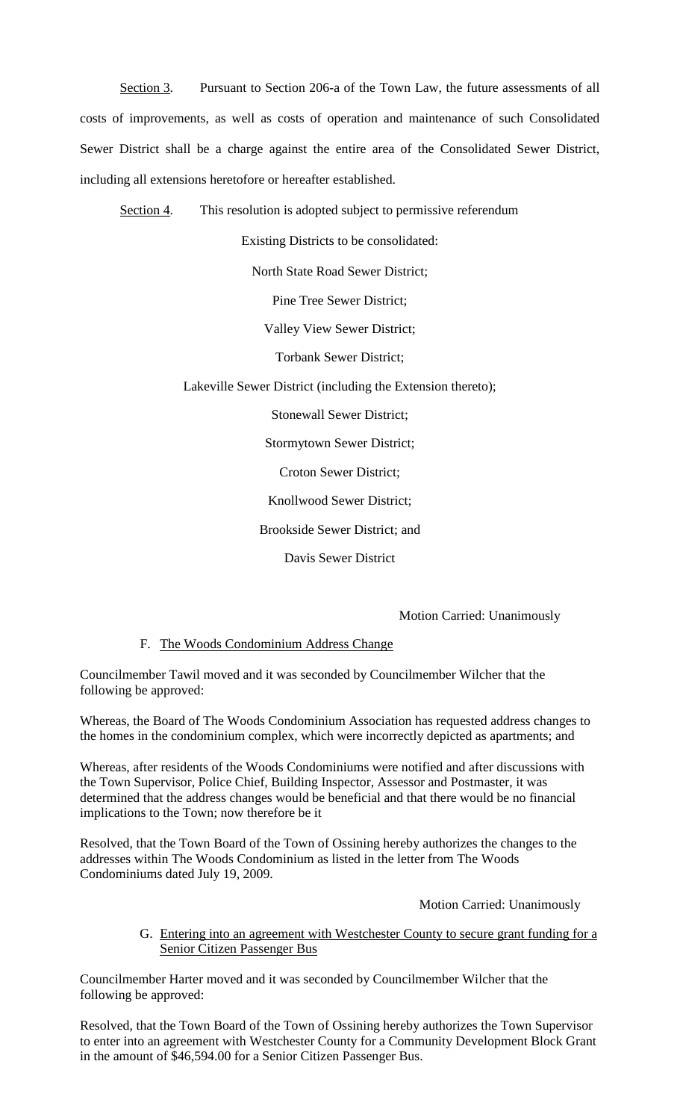Section 3. Pursuant to Section 206-a of the Town Law, the future assessments of all costs of improvements, as well as costs of operation and maintenance of such Consolidated Sewer District shall be a charge against the entire area of the Consolidated Sewer District, including all extensions heretofore or hereafter established.

Section 4 . This resolution is adopted subject to permissive referendum

Existing Districts to be consolidated:

North State Road Sewer District;

Pine Tree Sewer District;

Valley View Sewer District;

Torbank Sewer District;

Lakeville Sewer District (including the Extension thereto);

Stonewall Sewer District;

Stormytown Sewer District;

Croton Sewer District;

Knollwood Sewer District;

Brookside Sewer District; and

Davis Sewer District

Motion Carried: Unanimously

#### F. The Woods Condominium Address Change

Councilmember Tawil moved and it was seconded by Councilmember Wilcher that the following be approved:

Whereas, the Board of The Woods Condominium Association has requested address changes to the homes in the condominium complex, which were incorrectly depicted as apartments; and

Whereas, after residents of the Woods Condominiums were notified and after discussions with the Town Supervisor, Police Chief, Building Inspector, Assessor and Postmaster, it was determined that the address changes would be beneficial and that there would be no financial implications to the Town; now therefore be it

Resolved, that the Town Board of the Town of Ossining hereby authorizes the changes to the addresses within The Woods Condominium as listed in the letter from The Woods Condominiums dated July 19, 2009.

Motion Carried: Unanimously

G. Entering into an agreement with Westchester County to secure grant funding for a Senior Citizen Passenger Bus

Councilmember Harter moved and it was seconded by Councilmember Wilcher that the following be approved:

Resolved, that the Town Board of the Town of Ossining hereby authorizes the Town Supervisor to enter into an agreement with Westchester County for a Community Development Block Grant in the amount of \$46,594.00 for a Senior Citizen Passenger Bus.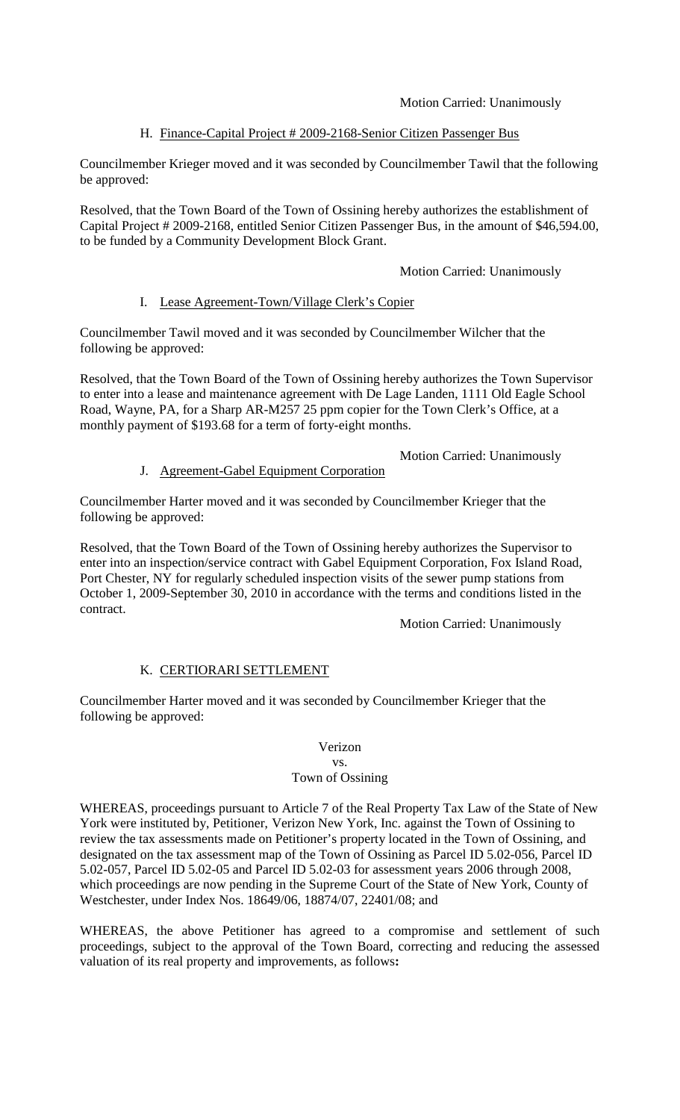Motion Carried: Unanimously

# H. Finance-Capital Project # 2009-2168-Senior Citizen Passenger Bus

Councilmember Krieger moved and it was seconded by Councilmember Tawil that the following be approved:

Resolved, that the Town Board of the Town of Ossining hereby authorizes the establishment of Capital Project # 2009-2168, entitled Senior Citizen Passenger Bus, in the amount of \$46,594.00, to be funded by a Community Development Block Grant.

#### Motion Carried: Unanimously

# I. Lease Agreement-Town/Village Clerk's Copier

Councilmember Tawil moved and it was seconded by Councilmember Wilcher that the following be approved:

Resolved, that the Town Board of the Town of Ossining hereby authorizes the Town Supervisor to enter into a lease and maintenance agreement with De Lage Landen, 1111 Old Eagle School Road, Wayne, PA, for a Sharp AR-M257 25 ppm copier for the Town Clerk's Office, at a monthly payment of \$193.68 for a term of forty-eight months.

# Motion Carried: Unanimously

# J. Agreement-Gabel Equipment Corporation

Councilmember Harter moved and it was seconded by Councilmember Krieger that the following be approved:

Resolved, that the Town Board of the Town of Ossining hereby authorizes the Supervisor to enter into an inspection/service contract with Gabel Equipment Corporation, Fox Island Road, Port Chester, NY for regularly scheduled inspection visits of the sewer pump stations from October 1, 2009-September 30, 2010 in accordance with the terms and conditions listed in the contract.

# Motion Carried: Unanimously

# K. CERTIORARI SETTLEMENT

Councilmember Harter moved and it was seconded by Councilmember Krieger that the following be approved:

# Verizon

#### vs. Town of Ossining

WHEREAS, proceedings pursuant to Article 7 of the Real Property Tax Law of the State of New York were instituted by, Petitioner, Verizon New York, Inc. against the Town of Ossining to review the tax assessments made on Petitioner's property located in the Town of Ossining, and designated on the tax assessment map of the Town of Ossining as Parcel ID 5.02-056, Parcel ID 5.02-057, Parcel ID 5.02-05 and Parcel ID 5.02-03 for assessment years 2006 through 2008, which proceedings are now pending in the Supreme Court of the State of New York, County of Westchester, under Index Nos. 18649/06, 18874/07, 22401/08; and

WHEREAS, the above Petitioner has agreed to a compromise and settlement of such proceedings, subject to the approval of the Town Board, correcting and reducing the assessed valuation of its real property and improvements, as follows**:**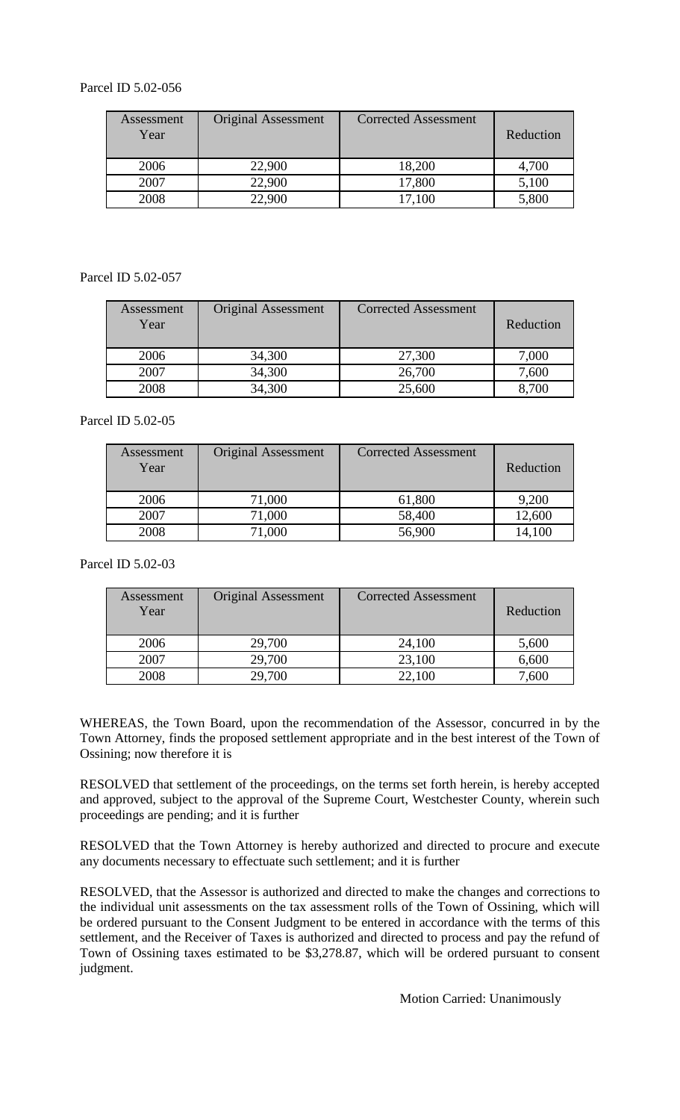# Parcel ID 5.02-056

| Assessment<br>Year | <b>Original Assessment</b> | <b>Corrected Assessment</b> | Reduction |
|--------------------|----------------------------|-----------------------------|-----------|
| 2006               | 22,900                     | 18,200                      | 4,700     |
| 2007               | 22,900                     | 17,800                      | 5,100     |
| 2008               | 22,900                     | 17,100                      | 5,800     |

Parcel ID 5.02-057

| Assessment<br>Year | <b>Original Assessment</b> | <b>Corrected Assessment</b> | Reduction |
|--------------------|----------------------------|-----------------------------|-----------|
| 2006               | 34,300                     | 27,300                      | 7,000     |
| 2007               | 34,300                     | 26,700                      | 7,600     |
| 2008               | 34,300                     | 25,600                      | 8,700     |

Parcel ID 5.02-05

| Assessment<br>Year | <b>Original Assessment</b> | <b>Corrected Assessment</b> | Reduction |
|--------------------|----------------------------|-----------------------------|-----------|
| 2006               | 71,000                     | 61,800                      | 9,200     |
| 2007               | 71,000                     | 58,400                      | 12,600    |
| 2008               | 71,000                     | 56,900                      | 14,100    |

Parcel ID 5.02-03

| Assessment<br>Year | <b>Original Assessment</b> | <b>Corrected Assessment</b> | Reduction |
|--------------------|----------------------------|-----------------------------|-----------|
| 2006               | 29,700                     | 24,100                      | 5,600     |
| 2007               | 29,700                     | 23,100                      | 6,600     |
| 2008               | 29,700                     | 22,100                      | 7,600     |

WHEREAS, the Town Board, upon the recommendation of the Assessor, concurred in by the Town Attorney, finds the proposed settlement appropriate and in the best interest of the Town of Ossining; now therefore it is

RESOLVED that settlement of the proceedings, on the terms set forth herein, is hereby accepted and approved, subject to the approval of the Supreme Court, Westchester County, wherein such proceedings are pending; and it is further

RESOLVED that the Town Attorney is hereby authorized and directed to procure and execute any documents necessary to effectuate such settlement; and it is further

RESOLVED, that the Assessor is authorized and directed to make the changes and corrections to the individual unit assessments on the tax assessment rolls of the Town of Ossining, which will be ordered pursuant to the Consent Judgment to be entered in accordance with the terms of this settlement, and the Receiver of Taxes is authorized and directed to process and pay the refund of Town of Ossining taxes estimated to be \$3,278.87, which will be ordered pursuant to consent judgment.

Motion Carried: Unanimously